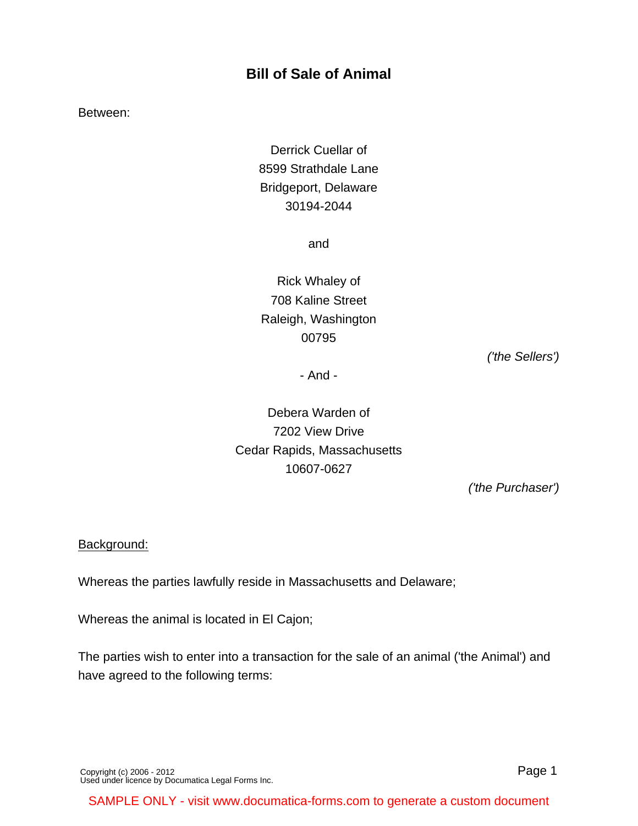# **Bill of Sale of Animal**

Between:

Derrick Cuellar of 8599 Strathdale Lane Bridgeport, Delaware 30194-2044

and

Rick Whaley of 708 Kaline Street Raleigh, Washington 00795

('the Sellers')

- And -

Debera Warden of 7202 View Drive Cedar Rapids, Massachusetts 10607-0627

('the Purchaser')

#### Background:

Whereas the parties lawfully reside in Massachusetts and Delaware;

Whereas the animal is located in El Cajon;

The parties wish to enter into a transaction for the sale of an animal ('the Animal') and have agreed to the following terms:

[Copyright \(c\) 2006 - 2012](http://www.documatica-forms.com) [Used under licence by Documatica Legal Forms Inc.](http://www.documatica-forms.com) Page 1

SAMPLE ONLY - visit www.documatica-forms.com to generate a custom document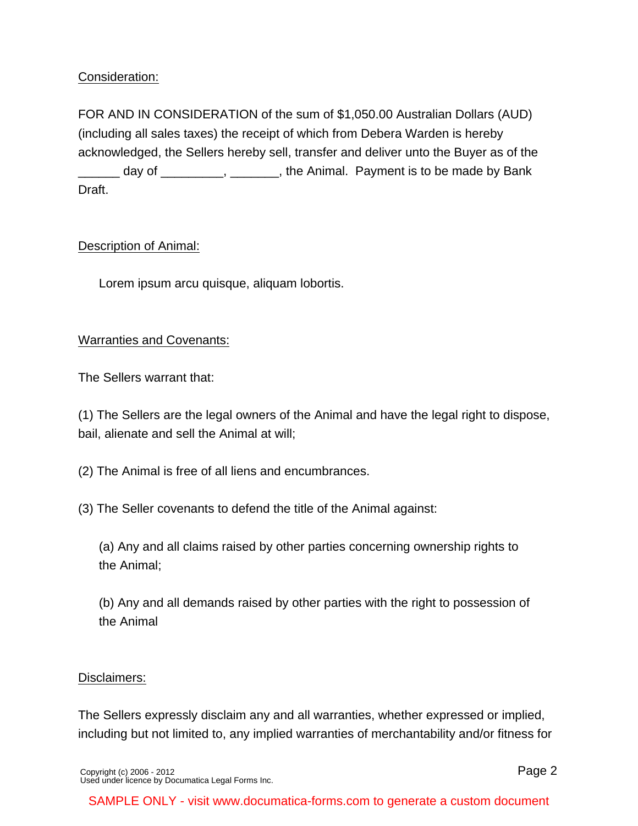# Consideration:

FOR AND IN CONSIDERATION of the sum of \$1,050.00 Australian Dollars (AUD) (including all sales taxes) the receipt of which from Debera Warden is hereby acknowledged, the Sellers hereby sell, transfer and deliver unto the Buyer as of the  $\Box$  day of  $\Box$ ,  $\Box$ ,  $\Box$ ,  $\Box$ , the Animal. Payment is to be made by Bank Draft.

# Description of Animal:

Lorem ipsum arcu quisque, aliquam lobortis.

# Warranties and Covenants:

The Sellers warrant that:

(1) The Sellers are the legal owners of the Animal and have the legal right to dispose, bail, alienate and sell the Animal at will;

(2) The Animal is free of all liens and encumbrances.

(3) The Seller covenants to defend the title of the Animal against:

(a) Any and all claims raised by other parties concerning ownership rights to the Animal;

(b) Any and all demands raised by other parties with the right to possession of the Animal

### Disclaimers:

The Sellers expressly disclaim any and all warranties, whether expressed or implied, including but not limited to, any implied warranties of merchantability and/or fitness for

[Copyright \(c\) 2006 - 2012](http://www.documatica-forms.com) [Used under licence by Documatica Legal Forms Inc.](http://www.documatica-forms.com) Page 2

SAMPLE ONLY - visit www.documatica-forms.com to generate a custom document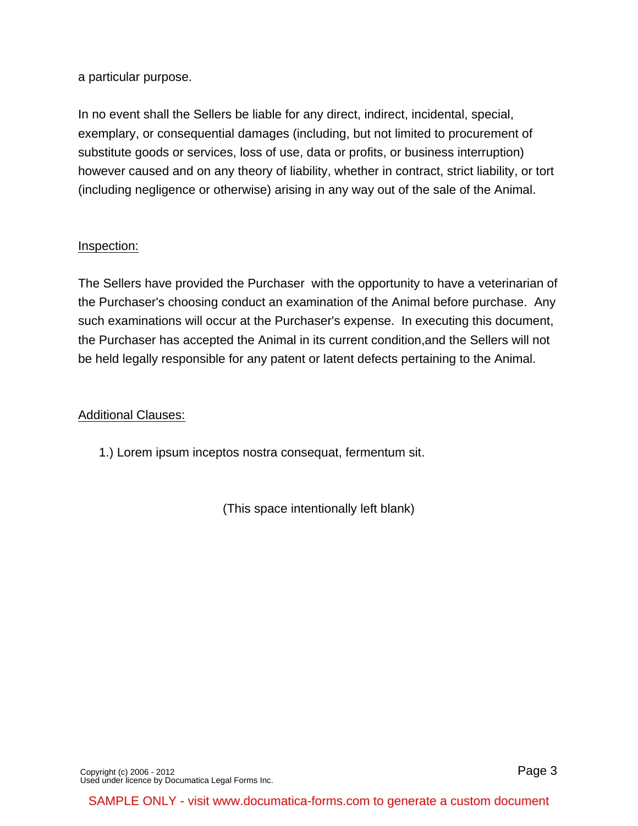a particular purpose.

In no event shall the Sellers be liable for any direct, indirect, incidental, special, exemplary, or consequential damages (including, but not limited to procurement of substitute goods or services, loss of use, data or profits, or business interruption) however caused and on any theory of liability, whether in contract, strict liability, or tort (including negligence or otherwise) arising in any way out of the sale of the Animal.

### Inspection:

The Sellers have provided the Purchaser with the opportunity to have a veterinarian of the Purchaser's choosing conduct an examination of the Animal before purchase. Any such examinations will occur at the Purchaser's expense. In executing this document, the Purchaser has accepted the Animal in its current condition,and the Sellers will not be held legally responsible for any patent or latent defects pertaining to the Animal.

### Additional Clauses:

1.) Lorem ipsum inceptos nostra consequat, fermentum sit.

(This space intentionally left blank)